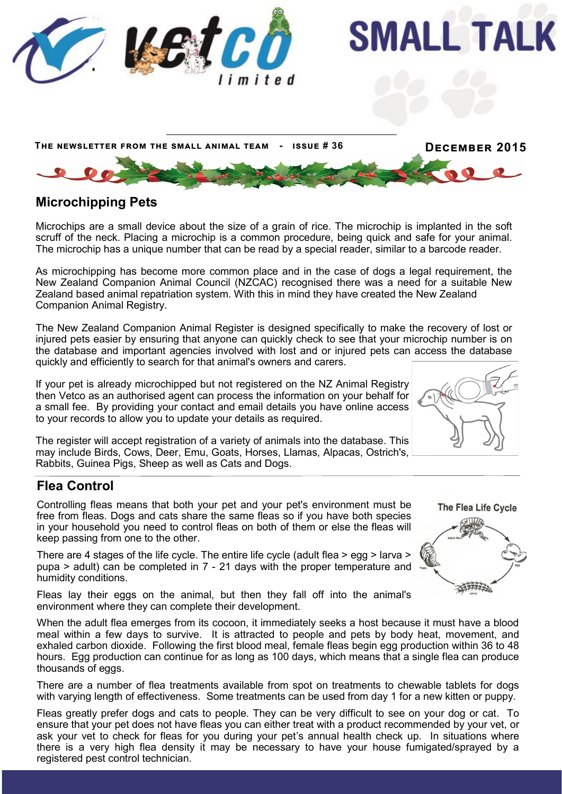

# **Microchipping Pets**

Microchips are a small device about the size of a grain of rice. The microchip is implanted in the soft scruff of the neck. Placing a microchip is a common procedure, being quick and safe for your animal. The microchip has a unique number that can be read by a special reader, similar to a barcode reader.

As microchipping has become more common place and in the case of dogs a legal requirement, the New Zealand Companion Animal Council (NZCAC) recognised there was a need for a suitable New Zealand based animal repatriation system. With this in mind they have created the New Zealand Companion Animal Registry.

The New Zealand Companion Animal Register is designed specifically to make the recovery of lost or injured pets easier by ensuring that anyone can quickly check to see that your microchip number is on the database and important agencies involved with lost and or injured pets can access the database quickly and efficiently to search for that animal's owners and carers.

If your pet is already microchipped but not registered on the NZ Animal Registry then Vetco as an authorised agent can process the information on your behalf for a small fee. By providing your contact and email details you have online access to your records to allow you to update your details as required.

The register will accept registration of a variety of animals into the database. This may include Birds, Cows, Deer, Emu, Goats, Horses, Llamas, Alpacas, Ostrich's, Rabbits, Guinea Pigs, Sheep as well as Cats and Dogs.

# **Flea Control**

Controlling fleas means that both your pet and your pet's environment must be free from fleas. Dogs and cats share the same fleas so if you have both species in your household you need to control fleas on both of them or else the fleas will keep passing from one to the other.

There are 4 stages of the life cycle. The entire life cycle (adult flea > egg > larva > pupa > adult) can be completed in 7 - 21 days with the proper temperature and humidity conditions.

Fleas lay their eggs on the animal, but then they fall off into the animal's environment where they can complete their development.

When the adult flea emerges from its cocoon, it immediately seeks a host because it must have a blood meal within a few days to survive. It is attracted to people and pets by body heat, movement, and exhaled carbon dioxide. Following the first blood meal, female fleas begin egg production within 36 to 48 hours. Egg production can continue for as long as 100 days, which means that a single flea can produce thousands of eggs.

There are a number of flea treatments available from spot on treatments to chewable tablets for dogs with varying length of effectiveness. Some treatments can be used from day 1 for a new kitten or puppy.

Fleas greatly prefer dogs and cats to people. They can be very difficult to see on your dog or cat. To ensure that your pet does not have fleas you can either treat with a product recommended by your vet, or ask your vet to check for fleas for you during your pet's annual health check up. In situations where there is a very high flea density it may be necessary to have your house fumigated/sprayed by a registered pest control technician.